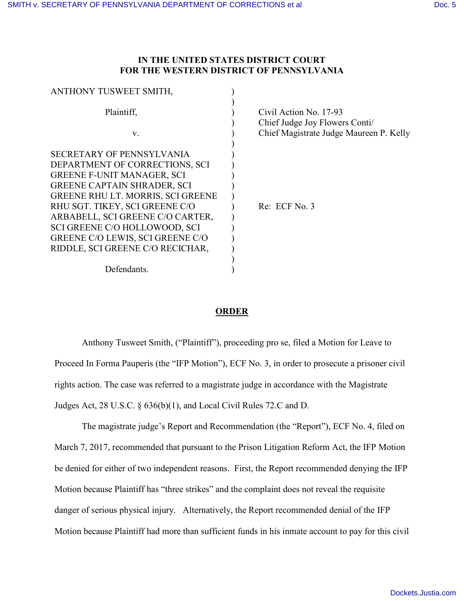## **IN THE UNITED STATES DISTRICT COURT FOR THE WESTERN DISTRICT OF PENNSYLVANIA**

| Civil Action No. 17-93                                                    |
|---------------------------------------------------------------------------|
| Chief Judge Joy Flowers Conti/<br>Chief Magistrate Judge Maureen P. Kelly |
|                                                                           |
|                                                                           |
|                                                                           |
|                                                                           |
|                                                                           |
| Re: ECF No. 3                                                             |
|                                                                           |
|                                                                           |
|                                                                           |
|                                                                           |
|                                                                           |
|                                                                           |
|                                                                           |

## **ORDER**

Anthony Tusweet Smith, ("Plaintiff"), proceeding pro se, filed a Motion for Leave to Proceed In Forma Pauperis (the "IFP Motion"), ECF No. 3, in order to prosecute a prisoner civil rights action. The case was referred to a magistrate judge in accordance with the Magistrate Judges Act, 28 U.S.C. § 636(b)(1), and Local Civil Rules 72.C and D.

The magistrate judge's Report and Recommendation (the "Report"), ECF No. 4, filed on March 7, 2017, recommended that pursuant to the Prison Litigation Reform Act, the IFP Motion be denied for either of two independent reasons. First, the Report recommended denying the IFP Motion because Plaintiff has "three strikes" and the complaint does not reveal the requisite danger of serious physical injury. Alternatively, the Report recommended denial of the IFP Motion because Plaintiff had more than sufficient funds in his inmate account to pay for this civil